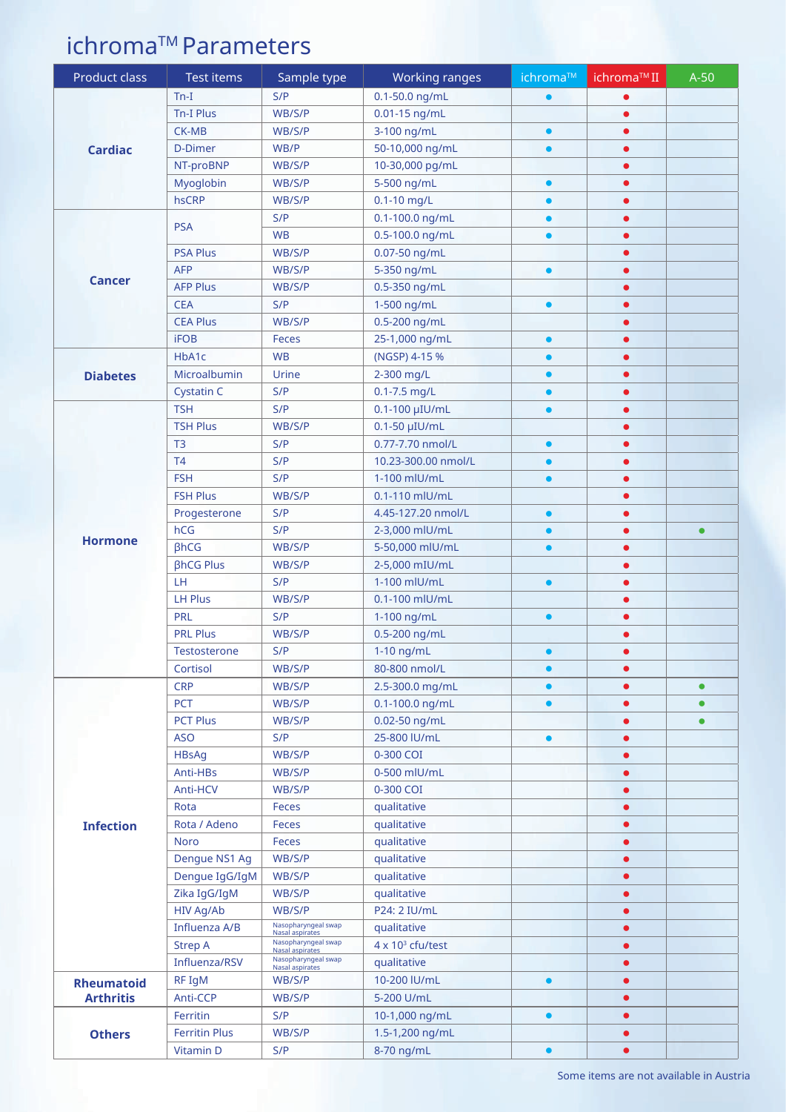## ichroma<sup>™</sup> Parameters

| Product class                         | Test items           | Sample type                            | Working ranges             | ichroma™  | ichroma™II             | $A-50$    |
|---------------------------------------|----------------------|----------------------------------------|----------------------------|-----------|------------------------|-----------|
| <b>Cardiac</b>                        | $Tn-I$               | S/P                                    | $0.1 - 50.0$ ng/mL         | $\bullet$ | $\bullet$              |           |
|                                       | <b>Tn-I Plus</b>     | WB/S/P                                 | 0.01-15 ng/mL              |           | $\bullet$              |           |
|                                       | <b>CK-MB</b>         | WB/S/P                                 | 3-100 ng/mL                | $\bullet$ | $\bullet$              |           |
|                                       | D-Dimer              | WB/P                                   | 50-10,000 ng/mL            | $\bullet$ | $\bullet$              |           |
|                                       | NT-proBNP            | WB/S/P                                 | 10-30,000 pg/mL            |           | $\bullet$              |           |
|                                       | Myoglobin            | WB/S/P                                 | 5-500 ng/mL                |           |                        |           |
|                                       | hsCRP                | WB/S/P                                 | 0.1-10 mg/L                | $\bullet$ | $\bullet$              |           |
| <b>Cancer</b>                         | <b>PSA</b>           | S/P                                    | 0.1-100.0 ng/mL            | $\bullet$ | $\bullet$              |           |
|                                       |                      | <b>WB</b>                              | 0.5-100.0 ng/mL            | $\bullet$ | $\bullet$              |           |
|                                       | <b>PSA Plus</b>      | WB/S/P                                 | 0.07-50 ng/mL              |           | $\bullet$              |           |
|                                       | <b>AFP</b>           | WB/S/P                                 | 5-350 ng/mL                |           | $\bullet$              |           |
|                                       | <b>AFP Plus</b>      | WB/S/P                                 | 0.5-350 ng/mL              |           | $\bullet$              |           |
|                                       | <b>CEA</b>           | S/P                                    | 1-500 ng/mL                | $\bullet$ | $\bullet$              |           |
|                                       | <b>CEA Plus</b>      | WB/S/P                                 | 0.5-200 ng/mL              |           | $\bullet$              |           |
|                                       | <b>iFOB</b>          | Feces                                  | 25-1,000 ng/mL             | $\bullet$ | $\bullet$              |           |
| <b>Diabetes</b>                       | HbA1c                | <b>WB</b>                              | (NGSP) 4-15 %              |           | $\bullet$              |           |
|                                       | Microalbumin         | Urine                                  | 2-300 mg/L                 |           | $\bullet$              |           |
|                                       | <b>Cystatin C</b>    | S/P                                    | $0.1 - 7.5$ mg/L           | $\bullet$ | $\bullet$              |           |
|                                       | <b>TSH</b>           | S/P                                    | 0.1-100 µIU/mL             | $\bullet$ | $\bullet$              |           |
|                                       | <b>TSH Plus</b>      | WB/S/P                                 | 0.1-50 µIU/mL              |           | $\bullet$              |           |
|                                       | T <sub>3</sub>       | S/P                                    | 0.77-7.70 nmol/L           | $\bullet$ | $\bullet$              |           |
|                                       | T4                   | S/P                                    | 10.23-300.00 nmol/L        | $\bullet$ | $\bullet$              |           |
|                                       | <b>FSH</b>           | S/P                                    | 1-100 mlU/mL               | $\bullet$ | $\bullet$              |           |
|                                       | <b>FSH Plus</b>      | WB/S/P                                 | 0.1-110 mlU/mL             |           | $\bullet$              |           |
|                                       | Progesterone         | S/P                                    | 4.45-127.20 nmol/L         | $\bullet$ | $\bullet$              |           |
| <b>Hormone</b>                        | hCG                  | S/P                                    | 2-3,000 mlU/mL             | $\bullet$ | $\bullet$              |           |
|                                       | <b>BhCG</b>          | WB/S/P                                 | 5-50,000 mlU/mL            | $\bullet$ | $\bullet$              |           |
|                                       | <b>BhCG Plus</b>     | WB/S/P                                 | 2-5,000 mIU/mL             |           | $\bullet$              |           |
|                                       | LH                   | S/P                                    | 1-100 mlU/mL               | $\bullet$ | $\bullet$              |           |
|                                       | <b>LH Plus</b>       | WB/S/P                                 | 0.1-100 mlU/mL             |           | $\bullet$              |           |
|                                       | <b>PRL</b>           | S/P                                    | 1-100 ng/mL                | $\bullet$ | $\bullet$              |           |
|                                       | <b>PRL Plus</b>      | WB/S/P                                 | 0.5-200 ng/mL              |           | $\bullet$              |           |
|                                       | Testosterone         | S/P                                    | 1-10 ng/mL                 | $\bullet$ | $\bullet$              |           |
|                                       | Cortisol             | WB/S/P                                 | 80-800 nmol/L              | $\bullet$ | $\bullet$              |           |
| <b>Infection</b>                      | <b>CRP</b>           | WB/S/P                                 | 2.5-300.0 mg/mL            | $\bullet$ | $\bullet$              | $\bullet$ |
|                                       | PCT                  | WB/S/P                                 | $0.1 - 100.0$ ng/mL        | $\bullet$ |                        |           |
|                                       | <b>PCT Plus</b>      | WB/S/P                                 | 0.02-50 ng/mL              |           | $\bullet$              |           |
|                                       | <b>ASO</b>           | S/P                                    | 25-800 IU/mL               |           | ●                      |           |
|                                       | <b>HBsAq</b>         | WB/S/P                                 | 0-300 COI                  |           | $\bullet$              |           |
|                                       | Anti-HBs             | WB/S/P                                 | 0-500 mlU/mL               |           | $\bullet$              |           |
|                                       | Anti-HCV             | WB/S/P                                 | 0-300 COI                  |           | $\bullet$              |           |
|                                       | Rota<br>Rota / Adeno | <b>Feces</b>                           | qualitative                |           | $\bullet$              |           |
|                                       | <b>Noro</b>          | <b>Feces</b><br>Feces                  | qualitative                |           | $\bullet$              |           |
|                                       | Dengue NS1 Ag        | WB/S/P                                 | qualitative<br>qualitative |           | $\bullet$<br>$\bullet$ |           |
|                                       | Dengue IgG/IgM       | WB/S/P                                 | qualitative                |           | $\bullet$              |           |
|                                       | Zika IgG/IgM         | WB/S/P                                 | qualitative                |           | $\bullet$              |           |
|                                       | HIV Ag/Ab            | WB/S/P                                 | P24: 2 IU/mL               |           | $\bullet$              |           |
|                                       | Influenza A/B        | Nasopharyngeal swap                    | qualitative                |           | $\bullet$              |           |
|                                       | <b>Strep A</b>       | Nasal aspirates<br>Nasopharyngeal swap | $4 \times 10^3$ cfu/test   |           | $\bullet$              |           |
|                                       | Influenza/RSV        | Nasal aspirates<br>Nasopharyngeal swap | qualitative                |           | $\bullet$              |           |
| <b>Rheumatoid</b><br><b>Arthritis</b> | RF IgM               | Nasal aspirates<br>WB/S/P              | 10-200 IU/mL               | $\bullet$ | $\bullet$              |           |
|                                       | Anti-CCP             | WB/S/P                                 | 5-200 U/mL                 |           | $\bullet$              |           |
|                                       | Ferritin             | S/P                                    | 10-1,000 ng/mL             | $\bullet$ | $\bullet$              |           |
| <b>Others</b>                         | <b>Ferritin Plus</b> | WB/S/P                                 | 1.5-1,200 ng/mL            |           | $\bullet$              |           |
|                                       | <b>Vitamin D</b>     | S/P                                    | 8-70 ng/mL                 | $\bullet$ | $\bullet$              |           |
|                                       |                      |                                        |                            |           |                        |           |